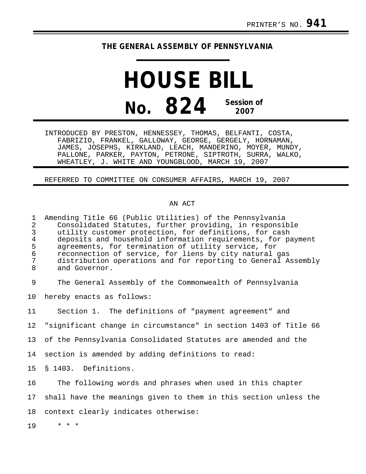# **THE GENERAL ASSEMBLY OF PENNSYLVANIA**

# **HOUSE BILL No. 824 Session of 2007**

INTRODUCED BY PRESTON, HENNESSEY, THOMAS, BELFANTI, COSTA, FABRIZIO, FRANKEL, GALLOWAY, GEORGE, GERGELY, HORNAMAN, JAMES, JOSEPHS, KIRKLAND, LEACH, MANDERINO, MOYER, MUNDY, PALLONE, PARKER, PAYTON, PETRONE, SIPTROTH, SURRA, WALKO, WHEATLEY, J. WHITE AND YOUNGBLOOD, MARCH 19, 2007

REFERRED TO COMMITTEE ON CONSUMER AFFAIRS, MARCH 19, 2007

#### AN ACT

| 1<br>$\overline{a}$<br>$\mathfrak{Z}$<br>$\overline{4}$<br>5<br>6<br>7<br>8 | Amending Title 66 (Public Utilities) of the Pennsylvania<br>Consolidated Statutes, further providing, in responsible<br>utility customer protection, for definitions, for cash<br>deposits and household information requirements, for payment<br>agreements, for termination of utility service, for<br>reconnection of service, for liens by city natural gas<br>distribution operations and for reporting to General Assembly<br>and Governor. |
|-----------------------------------------------------------------------------|---------------------------------------------------------------------------------------------------------------------------------------------------------------------------------------------------------------------------------------------------------------------------------------------------------------------------------------------------------------------------------------------------------------------------------------------------|
| 9                                                                           | The General Assembly of the Commonwealth of Pennsylvania                                                                                                                                                                                                                                                                                                                                                                                          |
| 10                                                                          | hereby enacts as follows:                                                                                                                                                                                                                                                                                                                                                                                                                         |
| 11                                                                          | Section 1. The definitions of "payment agreement" and                                                                                                                                                                                                                                                                                                                                                                                             |
| 12                                                                          | "significant change in circumstance" in section 1403 of Title 66                                                                                                                                                                                                                                                                                                                                                                                  |
| 13                                                                          | of the Pennsylvania Consolidated Statutes are amended and the                                                                                                                                                                                                                                                                                                                                                                                     |
| 14                                                                          | section is amended by adding definitions to read:                                                                                                                                                                                                                                                                                                                                                                                                 |
| 15 <sub>1</sub>                                                             | § 1403. Definitions.                                                                                                                                                                                                                                                                                                                                                                                                                              |
| 16                                                                          | The following words and phrases when used in this chapter                                                                                                                                                                                                                                                                                                                                                                                         |
| 17                                                                          | shall have the meanings given to them in this section unless the                                                                                                                                                                                                                                                                                                                                                                                  |
| 18                                                                          | context clearly indicates otherwise:                                                                                                                                                                                                                                                                                                                                                                                                              |
| 19                                                                          | * * *                                                                                                                                                                                                                                                                                                                                                                                                                                             |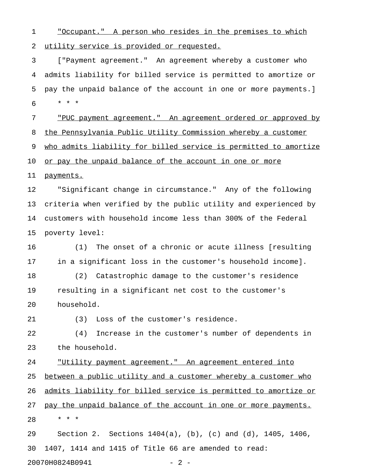1 "Occupant." A person who resides in the premises to which 2 utility service is provided or requested.

3 ["Payment agreement." An agreement whereby a customer who 4 admits liability for billed service is permitted to amortize or 5 pay the unpaid balance of the account in one or more payments.] 6 \* \* \*

7 "PUC payment agreement." An agreement ordered or approved by 8 the Pennsylvania Public Utility Commission whereby a customer 9 who admits liability for billed service is permitted to amortize 10 <u>or pay the unpaid balance of the account in one or more</u> 11 payments.

12 "Significant change in circumstance." Any of the following 13 criteria when verified by the public utility and experienced by 14 customers with household income less than 300% of the Federal 15 poverty level:

16 (1) The onset of a chronic or acute illness [resulting 17 in a significant loss in the customer's household income]. 18 (2) Catastrophic damage to the customer's residence 19 resulting in a significant net cost to the customer's

20 household.

21 (3) Loss of the customer's residence.

22 (4) Increase in the customer's number of dependents in 23 the household.

24 "Utility payment agreement." An agreement entered into 25 between a public utility and a customer whereby a customer who 26 admits liability for billed service is permitted to amortize or 27 pay the unpaid balance of the account in one or more payments. 28 \* \* \* 29 Section 2. Sections 1404(a), (b), (c) and (d), 1405, 1406,

30 1407, 1414 and 1415 of Title 66 are amended to read: 20070H0824B0941 - 2 -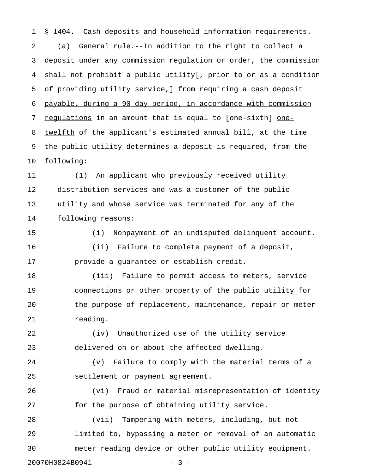1 § 1404. Cash deposits and household information requirements. 2 (a) General rule.--In addition to the right to collect a 3 deposit under any commission regulation or order, the commission 4 shall not prohibit a public utility[, prior to or as a condition 5 of providing utility service,] from requiring a cash deposit 6 payable, during a 90-day period, in accordance with commission 7 requlations in an amount that is equal to [one-sixth] one-8 twelfth of the applicant's estimated annual bill, at the time 9 the public utility determines a deposit is required, from the 10 following:

11 (1) An applicant who previously received utility 12 distribution services and was a customer of the public 13 utility and whose service was terminated for any of the 14 following reasons:

15 (i) Nonpayment of an undisputed delinquent account. 16 (ii) Failure to complete payment of a deposit, 17 provide a guarantee or establish credit.

18 (iii) Failure to permit access to meters, service 19 connections or other property of the public utility for 20 the purpose of replacement, maintenance, repair or meter 21 reading.

22 (iv) Unauthorized use of the utility service 23 delivered on or about the affected dwelling.

24 (v) Failure to comply with the material terms of a 25 settlement or payment agreement.

26 (vi) Fraud or material misrepresentation of identity 27 for the purpose of obtaining utility service.

28 (vii) Tampering with meters, including, but not 29 limited to, bypassing a meter or removal of an automatic 30 meter reading device or other public utility equipment.

20070H0824B0941 - 3 -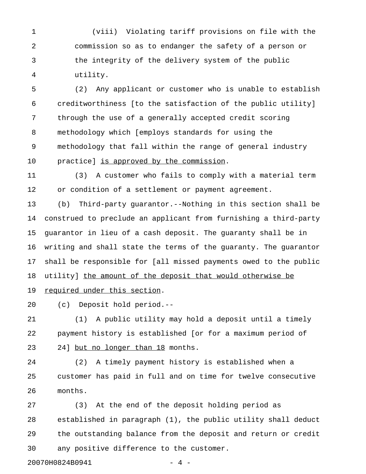1 (viii) Violating tariff provisions on file with the 2 commission so as to endanger the safety of a person or 3 the integrity of the delivery system of the public 4 utility.

5 (2) Any applicant or customer who is unable to establish 6 creditworthiness [to the satisfaction of the public utility] 7 through the use of a generally accepted credit scoring 8 methodology which [employs standards for using the 9 methodology that fall within the range of general industry 10 practice] is approved by the commission.

11 (3) A customer who fails to comply with a material term 12 or condition of a settlement or payment agreement.

13 (b) Third-party guarantor.--Nothing in this section shall be 14 construed to preclude an applicant from furnishing a third-party 15 guarantor in lieu of a cash deposit. The guaranty shall be in 16 writing and shall state the terms of the guaranty. The guarantor 17 shall be responsible for [all missed payments owed to the public 18 utility] the amount of the deposit that would otherwise be 19 required under this section.

20 (c) Deposit hold period.--

21 (1) A public utility may hold a deposit until a timely 22 payment history is established [or for a maximum period of 23 24] but no longer than 18 months.

24 (2) A timely payment history is established when a 25 customer has paid in full and on time for twelve consecutive 26 months.

27 (3) At the end of the deposit holding period as 28 established in paragraph (1), the public utility shall deduct 29 the outstanding balance from the deposit and return or credit 30 any positive difference to the customer.

20070H0824B0941 - 4 -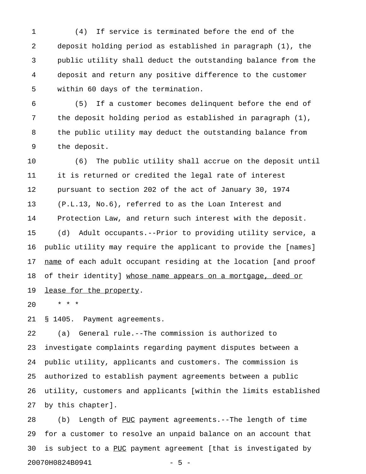1 (4) If service is terminated before the end of the 2 deposit holding period as established in paragraph (1), the 3 public utility shall deduct the outstanding balance from the 4 deposit and return any positive difference to the customer 5 within 60 days of the termination.

6 (5) If a customer becomes delinquent before the end of 7 the deposit holding period as established in paragraph (1), 8 the public utility may deduct the outstanding balance from 9 the deposit.

10 (6) The public utility shall accrue on the deposit until 11 it is returned or credited the legal rate of interest 12 pursuant to section 202 of the act of January 30, 1974 13 (P.L.13, No.6), referred to as the Loan Interest and 14 Protection Law, and return such interest with the deposit. 15 (d) Adult occupants.--Prior to providing utility service, a 16 public utility may require the applicant to provide the [names] 17 name of each adult occupant residing at the location [and proof 18 of their identity] whose name appears on a mortgage, deed or 19 lease for the property.

20 \* \* \*

21 § 1405. Payment agreements.

22 (a) General rule.--The commission is authorized to 23 investigate complaints regarding payment disputes between a 24 public utility, applicants and customers. The commission is 25 authorized to establish payment agreements between a public 26 utility, customers and applicants [within the limits established 27 by this chapter].

28 (b) Length of PUC payment agreements.--The length of time 29 for a customer to resolve an unpaid balance on an account that 30 is subject to a PUC payment agreement [that is investigated by 20070H0824B0941 - 5 -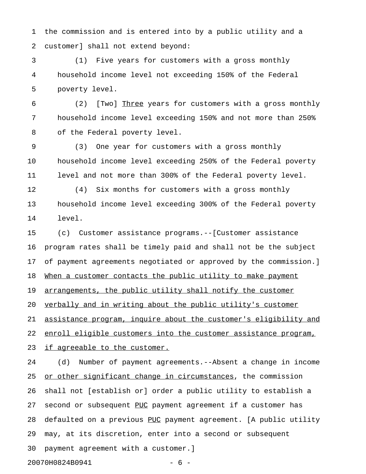1 the commission and is entered into by a public utility and a 2 customer] shall not extend beyond:

3 (1) Five years for customers with a gross monthly 4 household income level not exceeding 150% of the Federal 5 poverty level.

6 (2) [Two] Three years for customers with a gross monthly \_\_\_\_\_ 7 household income level exceeding 150% and not more than 250% 8 of the Federal poverty level.

9 (3) One year for customers with a gross monthly 10 household income level exceeding 250% of the Federal poverty 11 level and not more than 300% of the Federal poverty level.

12 (4) Six months for customers with a gross monthly 13 household income level exceeding 300% of the Federal poverty 14 level.

15 (c) Customer assistance programs.--[Customer assistance 16 program rates shall be timely paid and shall not be the subject 17 of payment agreements negotiated or approved by the commission.] 18 When a customer contacts the public utility to make payment 19 arrangements, the public utility shall notify the customer 20 verbally and in writing about the public utility's customer 21 assistance program, inquire about the customer's eligibility and 22 enroll eligible customers into the customer assistance program,

23 if agreeable to the customer.

24 (d) Number of payment agreements.--Absent a change in income 25 or other significant change in circumstances, the commission 26 shall not [establish or] order a public utility to establish a 27 second or subsequent PUC payment agreement if a customer has 28 defaulted on a previous PUC payment agreement. [A public utility 29 may, at its discretion, enter into a second or subsequent 30 payment agreement with a customer.] 20070H0824B0941 - 6 -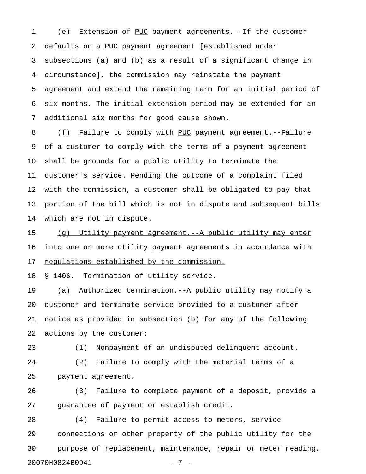1 (e) Extension of PUC payment agreements.--If the customer 2 defaults on a PUC payment agreement [established under 3 subsections (a) and (b) as a result of a significant change in 4 circumstance], the commission may reinstate the payment 5 agreement and extend the remaining term for an initial period of 6 six months. The initial extension period may be extended for an 7 additional six months for good cause shown.

8 (f) Failure to comply with PUC payment agreement.--Failure 9 of a customer to comply with the terms of a payment agreement 10 shall be grounds for a public utility to terminate the 11 customer's service. Pending the outcome of a complaint filed 12 with the commission, a customer shall be obligated to pay that 13 portion of the bill which is not in dispute and subsequent bills 14 which are not in dispute.

15 (g) Utility payment agreement.--A public utility may enter 16 into one or more utility payment agreements in accordance with 17 regulations established by the commission.

18 § 1406. Termination of utility service.

19 (a) Authorized termination.--A public utility may notify a 20 customer and terminate service provided to a customer after 21 notice as provided in subsection (b) for any of the following 22 actions by the customer:

23 (1) Nonpayment of an undisputed delinquent account. 24 (2) Failure to comply with the material terms of a 25 payment agreement.

26 (3) Failure to complete payment of a deposit, provide a 27 guarantee of payment or establish credit.

28 (4) Failure to permit access to meters, service 29 connections or other property of the public utility for the 30 purpose of replacement, maintenance, repair or meter reading. 20070H0824B0941 - 7 -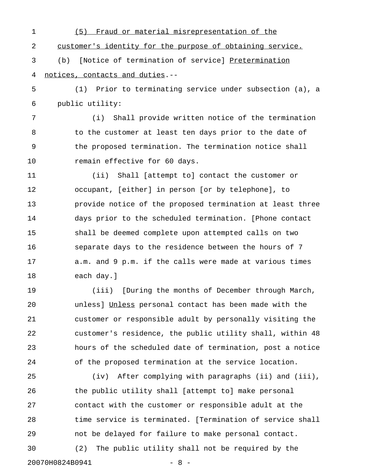1 (5) Fraud or material misrepresentation of the 2 customer's identity for the purpose of obtaining service. 3 (b) [Notice of termination of service] Pretermination \_\_\_\_\_\_\_\_\_\_\_\_\_\_ 4 notices, contacts and duties.--5 (1) Prior to terminating service under subsection (a), a 6 public utility: 7 (i) Shall provide written notice of the termination 8 to the customer at least ten days prior to the date of 9 the proposed termination. The termination notice shall 10 remain effective for 60 days. 11 (ii) Shall [attempt to] contact the customer or 12 occupant, [either] in person [or by telephone], to 13 provide notice of the proposed termination at least three 14 days prior to the scheduled termination. [Phone contact 15 shall be deemed complete upon attempted calls on two 16 separate days to the residence between the hours of 7

17 a.m. and 9 p.m. if the calls were made at various times 18 each day.]

19 (iii) [During the months of December through March, 20 unless] Unless personal contact has been made with the \_\_\_\_\_\_ 21 customer or responsible adult by personally visiting the 22 customer's residence, the public utility shall, within 48 23 hours of the scheduled date of termination, post a notice 24 of the proposed termination at the service location.

25 (iv) After complying with paragraphs (ii) and (iii), 26 the public utility shall [attempt to] make personal 27 contact with the customer or responsible adult at the 28 time service is terminated. [Termination of service shall 29 not be delayed for failure to make personal contact. 30 (2) The public utility shall not be required by the 20070H0824B0941 - 8 -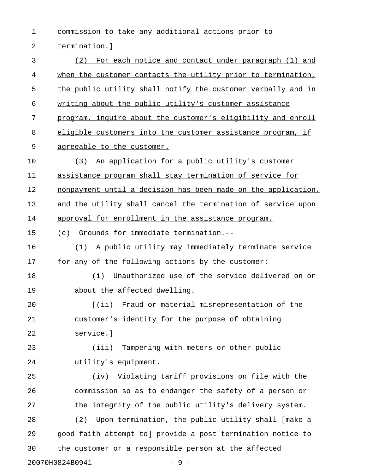1 commission to take any additional actions prior to 2 termination.]

3 (2) For each notice and contact under paragraph (1) and 4 when the customer contacts the utility prior to termination, 5 the public utility shall notify the customer verbally and in 6 writing about the public utility's customer assistance 7 program, inquire about the customer's eligibility and enroll 8 eligible customers into the customer assistance program, if 9 agreeable to the customer. 10 (3) An application for a public utility's customer 11 assistance program shall stay termination of service for 12 nonpayment until a decision has been made on the application, 13 and the utility shall cancel the termination of service upon 14 approval for enrollment in the assistance program. 15 (c) Grounds for immediate termination.-- 16 (1) A public utility may immediately terminate service 17 for any of the following actions by the customer: 18 (i) Unauthorized use of the service delivered on or 19 about the affected dwelling. 20 [(ii) Fraud or material misrepresentation of the 21 customer's identity for the purpose of obtaining 22 service.] 23 (iii) Tampering with meters or other public 24 utility's equipment. 25 (iv) Violating tariff provisions on file with the 26 commission so as to endanger the safety of a person or 27 the integrity of the public utility's delivery system. 28 (2) Upon termination, the public utility shall [make a 29 good faith attempt to] provide a post termination notice to 30 the customer or a responsible person at the affected 20070H0824B0941 - 9 -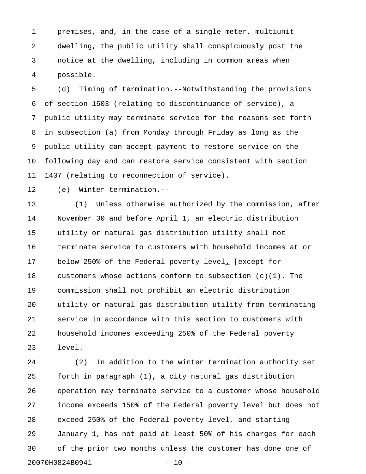1 premises, and, in the case of a single meter, multiunit 2 dwelling, the public utility shall conspicuously post the 3 notice at the dwelling, including in common areas when 4 possible.

5 (d) Timing of termination.--Notwithstanding the provisions 6 of section 1503 (relating to discontinuance of service), a 7 public utility may terminate service for the reasons set forth 8 in subsection (a) from Monday through Friday as long as the 9 public utility can accept payment to restore service on the 10 following day and can restore service consistent with section 11 1407 (relating to reconnection of service).

12 (e) Winter termination.--

13 (1) Unless otherwise authorized by the commission, after 14 November 30 and before April 1, an electric distribution 15 utility or natural gas distribution utility shall not 16 terminate service to customers with household incomes at or 17 below 250% of the Federal poverty level. [except for 18 customers whose actions conform to subsection (c)(1). The 19 commission shall not prohibit an electric distribution 20 utility or natural gas distribution utility from terminating 21 service in accordance with this section to customers with 22 household incomes exceeding 250% of the Federal poverty 23 level.

24 (2) In addition to the winter termination authority set 25 forth in paragraph (1), a city natural gas distribution 26 operation may terminate service to a customer whose household 27 income exceeds 150% of the Federal poverty level but does not 28 exceed 250% of the Federal poverty level, and starting 29 January 1, has not paid at least 50% of his charges for each 30 of the prior two months unless the customer has done one of 20070H0824B0941 - 10 -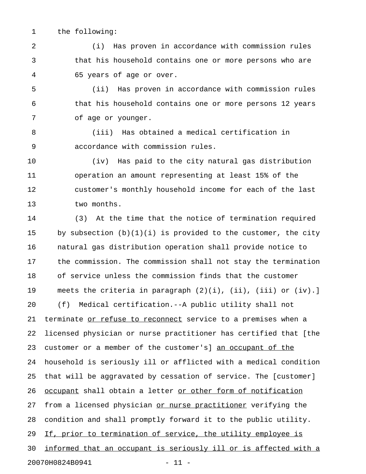1 the following:

2 (i) Has proven in accordance with commission rules 3 that his household contains one or more persons who are 4 65 years of age or over.

5 (ii) Has proven in accordance with commission rules 6 that his household contains one or more persons 12 years 7 of age or younger.

8 (iii) Has obtained a medical certification in 9 accordance with commission rules.

10 (iv) Has paid to the city natural gas distribution 11 operation an amount representing at least 15% of the 12 customer's monthly household income for each of the last 13 two months.

14 (3) At the time that the notice of termination required 15 by subsection  $(b)(1)(i)$  is provided to the customer, the city 16 natural gas distribution operation shall provide notice to 17 the commission. The commission shall not stay the termination 18 of service unless the commission finds that the customer 19 meets the criteria in paragraph (2)(i), (ii), (iii) or (iv).] 20 (f) Medical certification.--A public utility shall not 21 terminate or refuse to reconnect service to a premises when a 22 licensed physician or nurse practitioner has certified that [the 23 customer or a member of the customer's] an occupant of the 24 household is seriously ill or afflicted with a medical condition 25 that will be aggravated by cessation of service. The [customer] 26 occupant shall obtain a letter or other form of notification 27 from a licensed physician or nurse practitioner verifying the 28 condition and shall promptly forward it to the public utility. 29 If, prior to termination of service, the utility employee is 30 informed that an occupant is seriously ill or is affected with a 20070H0824B0941 - 11 -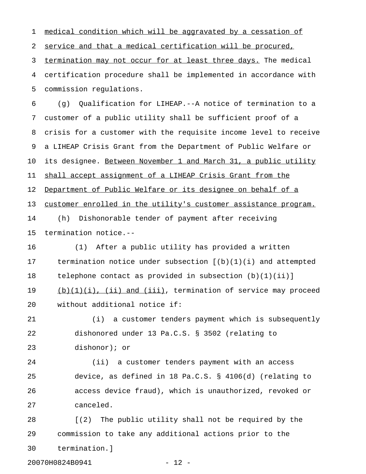1 medical condition which will be aggravated by a cessation of 2 service and that a medical certification will be procured, 3 termination may not occur for at least three days. The medical 4 certification procedure shall be implemented in accordance with 5 commission regulations. 6 (g) Qualification for LIHEAP.--A notice of termination to a 7 customer of a public utility shall be sufficient proof of a 8 crisis for a customer with the requisite income level to receive 9 a LIHEAP Crisis Grant from the Department of Public Welfare or 10 its designee. Between November 1 and March 31, a public utility 11 shall accept assignment of a LIHEAP Crisis Grant from the 12 Department of Public Welfare or its designee on behalf of a 13 customer enrolled in the utility's customer assistance program. 14 (h) Dishonorable tender of payment after receiving 15 termination notice.-- 16 (1) After a public utility has provided a written 17 termination notice under subsection [(b)(1)(i) and attempted 18 telephone contact as provided in subsection (b)(1)(ii)] 19 (b)(1)(i), (ii) and (iii), termination of service may proceed 20 without additional notice if: 21 (i) a customer tenders payment which is subsequently 22 dishonored under 13 Pa.C.S. § 3502 (relating to 23 dishonor); or 24 (ii) a customer tenders payment with an access 25 device, as defined in 18 Pa.C.S. § 4106(d) (relating to 26 access device fraud), which is unauthorized, revoked or 27 canceled. 28 [(2) The public utility shall not be required by the 29 commission to take any additional actions prior to the 30 termination.]

20070H0824B0941 - 12 -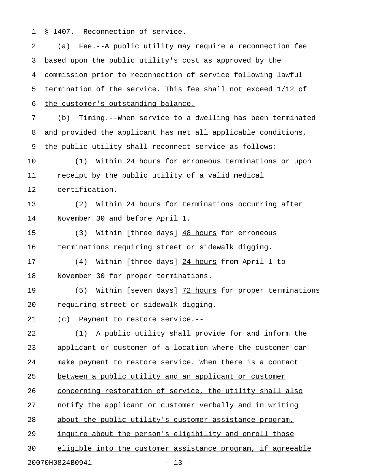1 § 1407. Reconnection of service.

2 (a) Fee.--A public utility may require a reconnection fee 3 based upon the public utility's cost as approved by the 4 commission prior to reconnection of service following lawful 5 termination of the service. This fee shall not exceed  $1/12$  of 6 the customer's outstanding balance.

7 (b) Timing.--When service to a dwelling has been terminated 8 and provided the applicant has met all applicable conditions, 9 the public utility shall reconnect service as follows:

10 (1) Within 24 hours for erroneous terminations or upon 11 receipt by the public utility of a valid medical 12 certification.

13 (2) Within 24 hours for terminations occurring after 14 November 30 and before April 1.

15 (3) Within [three days] 48 hours for erroneous 16 terminations requiring street or sidewalk digging.

17 (4) Within [three days] 24 hours from April 1 to \_\_\_\_\_\_\_\_ 18 November 30 for proper terminations.

19 (5) Within [seven days] 72 hours for proper terminations 20 requiring street or sidewalk digging.

21 (c) Payment to restore service.--

22 (1) A public utility shall provide for and inform the 23 applicant or customer of a location where the customer can 24 make payment to restore service. When there is a contact 25 between a public utility and an applicant or customer 26 concerning restoration of service, the utility shall also 27 notify the applicant or customer verbally and in writing 28 about the public utility's customer assistance program, 29 inquire about the person's eligibility and enroll those 30 eligible into the customer assistance program, if agreeable

20070H0824B0941 - 13 -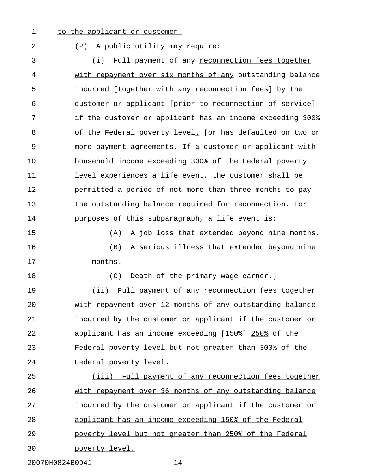### 1 to the applicant or customer.

## 2 (2) A public utility may require:

3 (i) Full payment of any <u>reconnection fees together</u> 4 with repayment over six months of any outstanding balance 5 incurred [together with any reconnection fees] by the 6 customer or applicant [prior to reconnection of service] 7 if the customer or applicant has an income exceeding 300% 8 of the Federal poverty level. [or has defaulted on two or 9 more payment agreements. If a customer or applicant with 10 household income exceeding 300% of the Federal poverty 11 level experiences a life event, the customer shall be 12 permitted a period of not more than three months to pay 13 the outstanding balance required for reconnection. For 14 purposes of this subparagraph, a life event is:

15 (A) A job loss that extended beyond nine months.

16 (B) A serious illness that extended beyond nine 17 months.

18 (C) Death of the primary wage earner.]

19 (ii) Full payment of any reconnection fees together 20 with repayment over 12 months of any outstanding balance 21 incurred by the customer or applicant if the customer or 22 applicant has an income exceeding [150%] 250% of the 23 Federal poverty level but not greater than 300% of the 24 Federal poverty level.

25 (iii) Full payment of any reconnection fees together 26 with repayment over 36 months of any outstanding balance 27 incurred by the customer or applicant if the customer or 28 applicant has an income exceeding 150% of the Federal 29 poverty level but not greater than 250% of the Federal 30 poverty level.

20070H0824B0941 - 14 -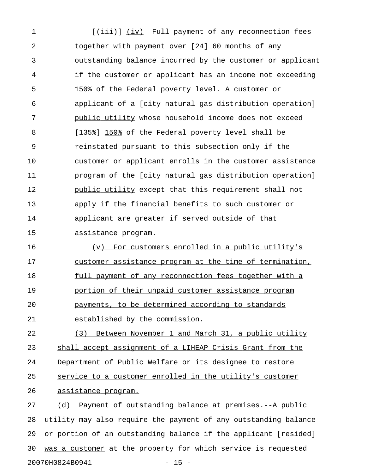1 [(iii)] (iv) Full payment of any reconnection fees 2 together with payment over [24] 60 months of any 3 outstanding balance incurred by the customer or applicant 4 if the customer or applicant has an income not exceeding 5 150% of the Federal poverty level. A customer or 6 applicant of a [city natural gas distribution operation] 7 public utility whose household income does not exceed \_\_\_\_\_\_\_\_\_\_\_\_\_\_ 8 [135%] 150% of the Federal poverty level shall be 9 reinstated pursuant to this subsection only if the 10 customer or applicant enrolls in the customer assistance 11 program of the [city natural gas distribution operation] 12 **public utility except that this requirement shall not** 13 apply if the financial benefits to such customer or 14 applicant are greater if served outside of that 15 assistance program.

16 (v) For customers enrolled in a public utility's 17 customer assistance program at the time of termination, 18 full payment of any reconnection fees together with a 19 portion of their unpaid customer assistance program 20 payments, to be determined according to standards \_\_\_\_\_\_\_\_\_\_\_\_\_\_\_\_\_\_\_\_\_\_\_\_\_\_\_\_\_\_\_\_\_\_\_\_\_\_\_\_\_\_\_\_\_\_\_\_\_ 21 established by the commission.

22 (3) Between November 1 and March 31, a public utility 23 shall accept assignment of a LIHEAP Crisis Grant from the 24 Department of Public Welfare or its designee to restore 25 service to a customer enrolled in the utility's customer 26 assistance program.

27 (d) Payment of outstanding balance at premises.--A public 28 utility may also require the payment of any outstanding balance 29 or portion of an outstanding balance if the applicant [resided] 30 was a customer at the property for which service is requested 20070H0824B0941 - 15 -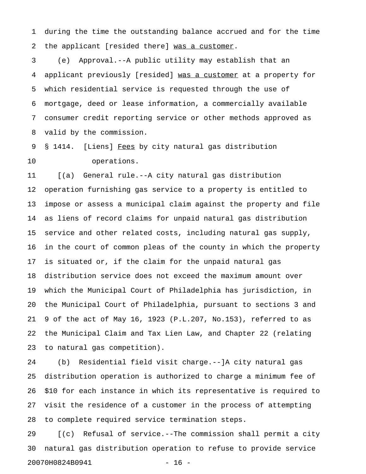1 during the time the outstanding balance accrued and for the time 2 the applicant [resided there] was a customer.

3 (e) Approval.--A public utility may establish that an 4 applicant previously [resided] was a customer at a property for 5 which residential service is requested through the use of 6 mortgage, deed or lease information, a commercially available 7 consumer credit reporting service or other methods approved as 8 valid by the commission.

9 § 1414. [Liens] Fees by city natural gas distribution 10 operations.

11 [(a) General rule.--A city natural gas distribution 12 operation furnishing gas service to a property is entitled to 13 impose or assess a municipal claim against the property and file 14 as liens of record claims for unpaid natural gas distribution 15 service and other related costs, including natural gas supply, 16 in the court of common pleas of the county in which the property 17 is situated or, if the claim for the unpaid natural gas 18 distribution service does not exceed the maximum amount over 19 which the Municipal Court of Philadelphia has jurisdiction, in 20 the Municipal Court of Philadelphia, pursuant to sections 3 and 21 9 of the act of May 16, 1923 (P.L.207, No.153), referred to as 22 the Municipal Claim and Tax Lien Law, and Chapter 22 (relating 23 to natural gas competition).

24 (b) Residential field visit charge.--]A city natural gas 25 distribution operation is authorized to charge a minimum fee of 26 \$10 for each instance in which its representative is required to 27 visit the residence of a customer in the process of attempting 28 to complete required service termination steps.

29 [(c) Refusal of service.--The commission shall permit a city 30 natural gas distribution operation to refuse to provide service 20070H0824B0941 - 16 -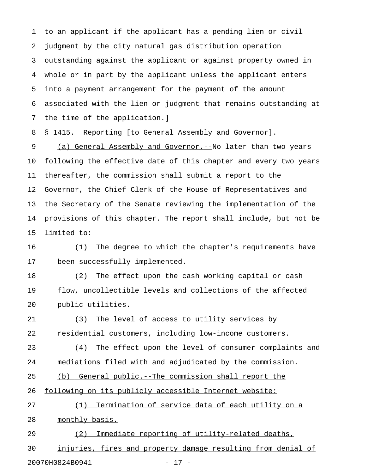1 to an applicant if the applicant has a pending lien or civil 2 judgment by the city natural gas distribution operation 3 outstanding against the applicant or against property owned in 4 whole or in part by the applicant unless the applicant enters 5 into a payment arrangement for the payment of the amount 6 associated with the lien or judgment that remains outstanding at 7 the time of the application.]

8 § 1415. Reporting [to General Assembly and Governor].

9 (a) General Assembly and Governor.--No later than two years 10 following the effective date of this chapter and every two years 11 thereafter, the commission shall submit a report to the 12 Governor, the Chief Clerk of the House of Representatives and 13 the Secretary of the Senate reviewing the implementation of the 14 provisions of this chapter. The report shall include, but not be 15 limited to:

16 (1) The degree to which the chapter's requirements have 17 been successfully implemented.

18 (2) The effect upon the cash working capital or cash 19 flow, uncollectible levels and collections of the affected 20 public utilities.

21 (3) The level of access to utility services by 22 residential customers, including low-income customers.

23 (4) The effect upon the level of consumer complaints and 24 mediations filed with and adjudicated by the commission.

25 (b) General public.--The commission shall report the

26 following on its publicly accessible Internet website:

27 (1) Termination of service data of each utility on a 28 monthly basis.

29 (2) Immediate reporting of utility-related deaths, 30 injuries, fires and property damage resulting from denial of 20070H0824B0941 - 17 -